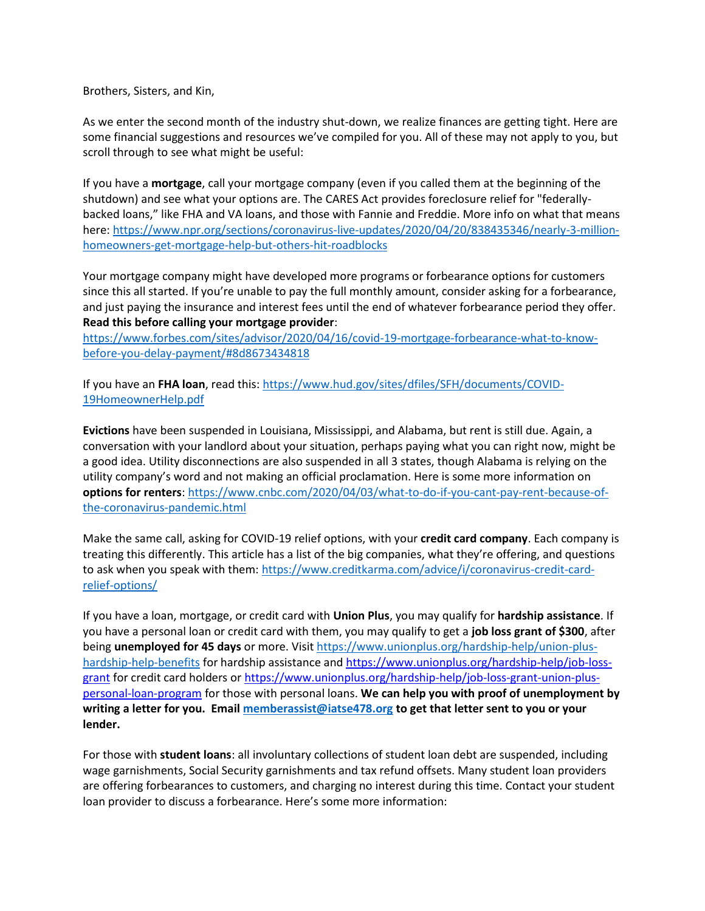Brothers, Sisters, and Kin,

As we enter the second month of the industry shut-down, we realize finances are getting tight. Here are some financial suggestions and resources we've compiled for you. All of these may not apply to you, but scroll through to see what might be useful:

If you have a **mortgage**, call your mortgage company (even if you called them at the beginning of the shutdown) and see what your options are. The CARES Act provides foreclosure relief for "federallybacked loans," like FHA and VA loans, and those with Fannie and Freddie. More info on what that means here: [https://www.npr.org/sections/coronavirus-live-updates/2020/04/20/838435346/nearly-3-million](http://url5559.membertracking.com/ls/click?upn=cIKXMaVmaPyGZnjk2UZlETVq7iHCDLHZqKiPUkZUpl-2Fiol5oCtaZZz6bI-2FvQzkPoeWP3E-2Fj4Dk9gCFlsDbMPXQeWypt2vYmPkENr2eaxwV54vzrLdCkS53Pq-2FmhRIF7ruI2uOLuESPMGu8TvAZNlpYBnzL0zs1Zz9gKa14TZ2cIopYQqHtHBEI2aJkyis6cXSLS5sGvds7oZD5wacWQ5aw-3D-3Dn7R5_aRYcx2bg9arLmvsp2MszsIEpNVGtfdYnrRgmDinq0yRUY-2FIWwr3TT-2BZ44RYIjpvN2o0wzFO8PjFlrbEj7ZbkEN0nzPiSA9YJ7FSxvb-2BdFiS7Q1vMnRL363PTUP4US0aXIm9tifhYNtzcJmQiOjjhCc688iALcn78WdhckWnCLdnBCL0o5U9tserCgO9ic2T3T3f7m9ABGmU2T5yhVfVZ999JeEYjaXPsXq73g9NzTT3XD1J4ImzVbvcvLDrODUZKaVuSeThgNXtmMrgxycqEqu44bn-2FW6TaDHjK6mczBDFE-3D)[homeowners-get-mortgage-help-but-others-hit-roadblocks](http://url5559.membertracking.com/ls/click?upn=cIKXMaVmaPyGZnjk2UZlETVq7iHCDLHZqKiPUkZUpl-2Fiol5oCtaZZz6bI-2FvQzkPoeWP3E-2Fj4Dk9gCFlsDbMPXQeWypt2vYmPkENr2eaxwV54vzrLdCkS53Pq-2FmhRIF7ruI2uOLuESPMGu8TvAZNlpYBnzL0zs1Zz9gKa14TZ2cIopYQqHtHBEI2aJkyis6cXSLS5sGvds7oZD5wacWQ5aw-3D-3Dn7R5_aRYcx2bg9arLmvsp2MszsIEpNVGtfdYnrRgmDinq0yRUY-2FIWwr3TT-2BZ44RYIjpvN2o0wzFO8PjFlrbEj7ZbkEN0nzPiSA9YJ7FSxvb-2BdFiS7Q1vMnRL363PTUP4US0aXIm9tifhYNtzcJmQiOjjhCc688iALcn78WdhckWnCLdnBCL0o5U9tserCgO9ic2T3T3f7m9ABGmU2T5yhVfVZ999JeEYjaXPsXq73g9NzTT3XD1J4ImzVbvcvLDrODUZKaVuSeThgNXtmMrgxycqEqu44bn-2FW6TaDHjK6mczBDFE-3D)

Your mortgage company might have developed more programs or forbearance options for customers since this all started. If you're unable to pay the full monthly amount, consider asking for a forbearance, and just paying the insurance and interest fees until the end of whatever forbearance period they offer. **Read this before calling your mortgage provider**:

[https://www.forbes.com/sites/advisor/2020/04/16/covid-19-mortgage-forbearance-what-to-know](http://url5559.membertracking.com/ls/click?upn=cIKXMaVmaPyGZnjk2UZlEZSUkI0zL2Myv6mIGW9qKL1P8FG88Et4gtt1Bj8ZfhnwWDsC0eB0u7Qu7qGcd3WsgwbHMOAlpRcz5gUSGEbyZWAjiqfxpO7AJochDAbgZhGOOGKfmYLd6Is-2BDQ1LlNxk8WBGFV24b5bWbk-2BB90Afa3P3n2plXggtTCJQU9CKbs0uDhgU_aRYcx2bg9arLmvsp2MszsIEpNVGtfdYnrRgmDinq0yRUY-2FIWwr3TT-2BZ44RYIjpvN2o0wzFO8PjFlrbEj7ZbkEN0nzPiSA9YJ7FSxvb-2BdFiS7Q1vMnRL363PTUP4US0aXIm9tifhYNtzcJmQiOjjhCYp0bBQJsTYZ3qMbmZ4TMOyl1nvU3cdtIdrN21NIKzaA09gfrVGhp1MaznEZyz5UCQUAjrFThfic1XGUHi9q0ZN52fs57tYEMTQo9H0rAc77zW-2FE5JH1eeuA1KA5f46ZLbCw6-2FSEeFllWWbj1h4JQOo-3D)[before-you-delay-payment/#8d8673434818](http://url5559.membertracking.com/ls/click?upn=cIKXMaVmaPyGZnjk2UZlEZSUkI0zL2Myv6mIGW9qKL1P8FG88Et4gtt1Bj8ZfhnwWDsC0eB0u7Qu7qGcd3WsgwbHMOAlpRcz5gUSGEbyZWAjiqfxpO7AJochDAbgZhGOOGKfmYLd6Is-2BDQ1LlNxk8WBGFV24b5bWbk-2BB90Afa3P3n2plXggtTCJQU9CKbs0uDhgU_aRYcx2bg9arLmvsp2MszsIEpNVGtfdYnrRgmDinq0yRUY-2FIWwr3TT-2BZ44RYIjpvN2o0wzFO8PjFlrbEj7ZbkEN0nzPiSA9YJ7FSxvb-2BdFiS7Q1vMnRL363PTUP4US0aXIm9tifhYNtzcJmQiOjjhCYp0bBQJsTYZ3qMbmZ4TMOyl1nvU3cdtIdrN21NIKzaA09gfrVGhp1MaznEZyz5UCQUAjrFThfic1XGUHi9q0ZN52fs57tYEMTQo9H0rAc77zW-2FE5JH1eeuA1KA5f46ZLbCw6-2FSEeFllWWbj1h4JQOo-3D)

If you have an **FHA loan**, read this: [https://www.hud.gov/sites/dfiles/SFH/documents/COVID-](http://url5559.membertracking.com/ls/click?upn=cIKXMaVmaPyGZnjk2UZlEeFmr83-2FAtfwhaEesHwiOm3ZzIFaPK0HqEjbIBKe3VeqJWnaf0pw2y194F4sD8zhDX823Q0rVvmCdjgTawR5h8lmCCOBvO1h-2BFHQiO0SCP12jssG_aRYcx2bg9arLmvsp2MszsIEpNVGtfdYnrRgmDinq0yRUY-2FIWwr3TT-2BZ44RYIjpvN2o0wzFO8PjFlrbEj7ZbkEN0nzPiSA9YJ7FSxvb-2BdFiS7Q1vMnRL363PTUP4US0aXIm9tifhYNtzcJmQiOjjhCZ2TfdhMsyvXV4mWUJZRM2pj3Shnq-2BB3plWd3V-2BNm5tkslFKD8Nf-2BIorPeu3jNFvWHUWIEvHihhLSCXXLGoeXV4kSyyyvDHZ2GjjAyjgtmHE0HtFlOjhdbCqqHzcJXXBx8qGqo-2FWNFI0ILxW620EzIs-3D)[19HomeownerHelp.pdf](http://url5559.membertracking.com/ls/click?upn=cIKXMaVmaPyGZnjk2UZlEeFmr83-2FAtfwhaEesHwiOm3ZzIFaPK0HqEjbIBKe3VeqJWnaf0pw2y194F4sD8zhDX823Q0rVvmCdjgTawR5h8lmCCOBvO1h-2BFHQiO0SCP12jssG_aRYcx2bg9arLmvsp2MszsIEpNVGtfdYnrRgmDinq0yRUY-2FIWwr3TT-2BZ44RYIjpvN2o0wzFO8PjFlrbEj7ZbkEN0nzPiSA9YJ7FSxvb-2BdFiS7Q1vMnRL363PTUP4US0aXIm9tifhYNtzcJmQiOjjhCZ2TfdhMsyvXV4mWUJZRM2pj3Shnq-2BB3plWd3V-2BNm5tkslFKD8Nf-2BIorPeu3jNFvWHUWIEvHihhLSCXXLGoeXV4kSyyyvDHZ2GjjAyjgtmHE0HtFlOjhdbCqqHzcJXXBx8qGqo-2FWNFI0ILxW620EzIs-3D)

**Evictions** have been suspended in Louisiana, Mississippi, and Alabama, but rent is still due. Again, a conversation with your landlord about your situation, perhaps paying what you can right now, might be a good idea. Utility disconnections are also suspended in all 3 states, though Alabama is relying on the utility company's word and not making an official proclamation. Here is some more information on **options for renters**: [https://www.cnbc.com/2020/04/03/what-to-do-if-you-cant-pay-rent-because-of](http://url5559.membertracking.com/ls/click?upn=cIKXMaVmaPyGZnjk2UZlEegLQG80wDAvBIT4YeW05oXXdDHxUdhaX3vFNCqVbVhmhsYgXXhrogBLoK6Ek6blpf-2B9yY3Pkeb-2BVVe-2FhKRIqDdl3WSLSC6GuGjewEwwqfwxkEWs-2FWZTSSeUbZGJlOe1uQ0K188zOPynRnVZ20xsSAs-3DX5dS_aRYcx2bg9arLmvsp2MszsIEpNVGtfdYnrRgmDinq0yRUY-2FIWwr3TT-2BZ44RYIjpvN2o0wzFO8PjFlrbEj7ZbkEN0nzPiSA9YJ7FSxvb-2BdFiS7Q1vMnRL363PTUP4US0aXIm9tifhYNtzcJmQiOjjhCclxATCawPtfCbrpyEZm9bp3z-2Bherg-2FVSoF8aoCYLscj52SiqMPwlC4pj61np2cWTF6iAnfj08C3FsrBzzCKaP6HQSWXNumgqU7ZuPqOGDRoY7Cyn2bytkUgGrAMpITQXhVUTZ1JLF57wOvMzxto0uc-3D)[the-coronavirus-pandemic.html](http://url5559.membertracking.com/ls/click?upn=cIKXMaVmaPyGZnjk2UZlEegLQG80wDAvBIT4YeW05oXXdDHxUdhaX3vFNCqVbVhmhsYgXXhrogBLoK6Ek6blpf-2B9yY3Pkeb-2BVVe-2FhKRIqDdl3WSLSC6GuGjewEwwqfwxkEWs-2FWZTSSeUbZGJlOe1uQ0K188zOPynRnVZ20xsSAs-3DX5dS_aRYcx2bg9arLmvsp2MszsIEpNVGtfdYnrRgmDinq0yRUY-2FIWwr3TT-2BZ44RYIjpvN2o0wzFO8PjFlrbEj7ZbkEN0nzPiSA9YJ7FSxvb-2BdFiS7Q1vMnRL363PTUP4US0aXIm9tifhYNtzcJmQiOjjhCclxATCawPtfCbrpyEZm9bp3z-2Bherg-2FVSoF8aoCYLscj52SiqMPwlC4pj61np2cWTF6iAnfj08C3FsrBzzCKaP6HQSWXNumgqU7ZuPqOGDRoY7Cyn2bytkUgGrAMpITQXhVUTZ1JLF57wOvMzxto0uc-3D)

Make the same call, asking for COVID-19 relief options, with your **credit card company**. Each company is treating this differently. This article has a list of the big companies, what they're offering, and questions to ask when you speak with them: [https://www.creditkarma.com/advice/i/coronavirus-credit-card](http://url5559.membertracking.com/ls/click?upn=cIKXMaVmaPyGZnjk2UZlEXJk-2F4b-2FUZKvz3rIebikOsEmSmNOGLKZzdacCYnTElb6LSeDTy-2Bb5aDSQujRYB5uj0w-2Fq-2Bct4FqTPQjVJOwR0UoWC21zxSQ7GVFufopIUzdZ_UbJ_aRYcx2bg9arLmvsp2MszsIEpNVGtfdYnrRgmDinq0yRUY-2FIWwr3TT-2BZ44RYIjpvN2o0wzFO8PjFlrbEj7ZbkEN0nzPiSA9YJ7FSxvb-2BdFiS7Q1vMnRL363PTUP4US0aXIm9tifhYNtzcJmQiOjjhCc7WMrSofKj67C5tVJmBoJqoXkdz4cLP-2FxhHBGnf3dhKKjtbhxC3z5q5N7oFbtyG-2BTWQwlnAT1tr9E8xE-2BjN4r-2BVXHfo4RZ3JAS2thpSebAst-2Fk17DDIZm6-2FQ1RbOxacQR5su5StKhXLBwQZN7-2Bj67Y-3D)[relief-options/](http://url5559.membertracking.com/ls/click?upn=cIKXMaVmaPyGZnjk2UZlEXJk-2F4b-2FUZKvz3rIebikOsEmSmNOGLKZzdacCYnTElb6LSeDTy-2Bb5aDSQujRYB5uj0w-2Fq-2Bct4FqTPQjVJOwR0UoWC21zxSQ7GVFufopIUzdZ_UbJ_aRYcx2bg9arLmvsp2MszsIEpNVGtfdYnrRgmDinq0yRUY-2FIWwr3TT-2BZ44RYIjpvN2o0wzFO8PjFlrbEj7ZbkEN0nzPiSA9YJ7FSxvb-2BdFiS7Q1vMnRL363PTUP4US0aXIm9tifhYNtzcJmQiOjjhCc7WMrSofKj67C5tVJmBoJqoXkdz4cLP-2FxhHBGnf3dhKKjtbhxC3z5q5N7oFbtyG-2BTWQwlnAT1tr9E8xE-2BjN4r-2BVXHfo4RZ3JAS2thpSebAst-2Fk17DDIZm6-2FQ1RbOxacQR5su5StKhXLBwQZN7-2Bj67Y-3D)

If you have a loan, mortgage, or credit card with **Union Plus**, you may qualify for **hardship assistance**. If you have a personal loan or credit card with them, you may qualify to get a **job loss grant of \$300**, after being **unemployed for 45 days** or more. Visit [https://www.unionplus.org/hardship-help/union-plus](http://url5559.membertracking.com/ls/click?upn=peQYjUwOdSYTPB-2BJmLJFNjhYhiH07rs3RnVg6qdbZR61JI2LvSgexxQzQT9ckGCtaolEP-2B5DjSVq-2Fo4y-2BjmIWG3jM8GNVw3Fgmdl1uNq7aAoRbH6cJQS-2BfOL-2Bi6Vwede24xe2-2BNJGczEWrarIDQ3FOUBeqPZNSGVFStLG-2FBenvTKgeA8SoX8PjmKawJrBg-2FABzqGlKbm2gTKPrOw9QMj1DdAZYx4XhxH0foAm6VaEMCzCLPWj5Q3vqPQXlYfMr3lpBb4sq-2B6EdNk7uMwRvp6Gw2yk0ckznTscuN59A3wqGtAs6ZU40zxIgo2vkEkuuBhQ6lUhUX2n1JZOdH8D0-2B0u83Jr3yT-2F3Xy4pE8C01unTEyOsVk0UWFRjApL8EmIX5NsoMAS-2FhPXVyIix6-2F1pYZV2douX3L3hUblfredg3S1Scj91-2B6tIaIlVa2S7Bs9ZFu97QrQCgPAVaah6iyhDFlDIeZjQ5hzww0MmgaXuW8pLh5HLq7Z-2BcpmDJIYbjBF-2BFovZuHEGGna6GCfT9fRRztBqs5Xzr6CcKSWseweUNmsvn-2F6PhIk5khqVhcg0ac1o3tLlQL-2Bs1lyBempRFkwz6SfK-2BOPN8JvXs1UVPEaPXEJH0g49gMbf3dqyclawEa-2Fu7XPtXs7QBLx8UdXPN5bgXaKSPyC-2FIpkvlRIhmoU-2BHMV-2Ff99Fi0O26sgRo3JZS9E9FWsOvgH0OQODiwiGWWvfGdKQ-3D-3DMF9c_aRYcx2bg9arLmvsp2MszsIEpNVGtfdYnrRgmDinq0yRUY-2FIWwr3TT-2BZ44RYIjpvN2o0wzFO8PjFlrbEj7ZbkEN0nzPiSA9YJ7FSxvb-2BdFiS7Q1vMnRL363PTUP4US0aXIm9tifhYNtzcJmQiOjjhCTlyliYIpyijTcx04tm7bEV6wQtB1fIF3UKrFvclGpAqj-2FBU53ZaLhWUoejHYZdR15sxKH8bI1vKOFxbnvMcDF0Jjd8MMESPm5NirTqhesE8qX0PU6AJJlxHF4LPScUEuGhBhSAl3LYfCtYcGqSLGbI-3D)[hardship-help-benefits](http://url5559.membertracking.com/ls/click?upn=peQYjUwOdSYTPB-2BJmLJFNjhYhiH07rs3RnVg6qdbZR61JI2LvSgexxQzQT9ckGCtaolEP-2B5DjSVq-2Fo4y-2BjmIWG3jM8GNVw3Fgmdl1uNq7aAoRbH6cJQS-2BfOL-2Bi6Vwede24xe2-2BNJGczEWrarIDQ3FOUBeqPZNSGVFStLG-2FBenvTKgeA8SoX8PjmKawJrBg-2FABzqGlKbm2gTKPrOw9QMj1DdAZYx4XhxH0foAm6VaEMCzCLPWj5Q3vqPQXlYfMr3lpBb4sq-2B6EdNk7uMwRvp6Gw2yk0ckznTscuN59A3wqGtAs6ZU40zxIgo2vkEkuuBhQ6lUhUX2n1JZOdH8D0-2B0u83Jr3yT-2F3Xy4pE8C01unTEyOsVk0UWFRjApL8EmIX5NsoMAS-2FhPXVyIix6-2F1pYZV2douX3L3hUblfredg3S1Scj91-2B6tIaIlVa2S7Bs9ZFu97QrQCgPAVaah6iyhDFlDIeZjQ5hzww0MmgaXuW8pLh5HLq7Z-2BcpmDJIYbjBF-2BFovZuHEGGna6GCfT9fRRztBqs5Xzr6CcKSWseweUNmsvn-2F6PhIk5khqVhcg0ac1o3tLlQL-2Bs1lyBempRFkwz6SfK-2BOPN8JvXs1UVPEaPXEJH0g49gMbf3dqyclawEa-2Fu7XPtXs7QBLx8UdXPN5bgXaKSPyC-2FIpkvlRIhmoU-2BHMV-2Ff99Fi0O26sgRo3JZS9E9FWsOvgH0OQODiwiGWWvfGdKQ-3D-3DMF9c_aRYcx2bg9arLmvsp2MszsIEpNVGtfdYnrRgmDinq0yRUY-2FIWwr3TT-2BZ44RYIjpvN2o0wzFO8PjFlrbEj7ZbkEN0nzPiSA9YJ7FSxvb-2BdFiS7Q1vMnRL363PTUP4US0aXIm9tifhYNtzcJmQiOjjhCTlyliYIpyijTcx04tm7bEV6wQtB1fIF3UKrFvclGpAqj-2FBU53ZaLhWUoejHYZdR15sxKH8bI1vKOFxbnvMcDF0Jjd8MMESPm5NirTqhesE8qX0PU6AJJlxHF4LPScUEuGhBhSAl3LYfCtYcGqSLGbI-3D) for hardship assistance an[d https://www.unionplus.org/hardship-help/job-loss](http://url5559.membertracking.com/ls/click?upn=cIKXMaVmaPyGZnjk2UZlERgVg43w42dHmmJOllnpvrOEq0Npp-2BF7j2HD6ka0hSUKa8hxSHMDgglkaYlYJH6uow-3D-3DKNeq_aRYcx2bg9arLmvsp2MszsIEpNVGtfdYnrRgmDinq0yRUY-2FIWwr3TT-2BZ44RYIjpvN2o0wzFO8PjFlrbEj7ZbkEN0nzPiSA9YJ7FSxvb-2BdFiS7Q1vMnRL363PTUP4US0aXIm9tifhYNtzcJmQiOjjhCW9ALuwBgrEhPZ-2Bz20D5yHCHTGcnobN0PsSvVjDb17WZseb0Spieu9eSW-2BnlSYQ9AdCyJBjeLWrw6h9nArUczN56Lbah4oBCiRe9zRjykHGO4i-2B-2Bagtp6UbSsJ5PUGx3zUcS46-2Bv06lH15vbRMCL4bY-3D)[grant](http://url5559.membertracking.com/ls/click?upn=cIKXMaVmaPyGZnjk2UZlERgVg43w42dHmmJOllnpvrOEq0Npp-2BF7j2HD6ka0hSUKa8hxSHMDgglkaYlYJH6uow-3D-3DKNeq_aRYcx2bg9arLmvsp2MszsIEpNVGtfdYnrRgmDinq0yRUY-2FIWwr3TT-2BZ44RYIjpvN2o0wzFO8PjFlrbEj7ZbkEN0nzPiSA9YJ7FSxvb-2BdFiS7Q1vMnRL363PTUP4US0aXIm9tifhYNtzcJmQiOjjhCW9ALuwBgrEhPZ-2Bz20D5yHCHTGcnobN0PsSvVjDb17WZseb0Spieu9eSW-2BnlSYQ9AdCyJBjeLWrw6h9nArUczN56Lbah4oBCiRe9zRjykHGO4i-2B-2Bagtp6UbSsJ5PUGx3zUcS46-2Bv06lH15vbRMCL4bY-3D) for credit card holders or [https://www.unionplus.org/hardship-help/job-loss-grant-union-plus](http://url5559.membertracking.com/ls/click?upn=cIKXMaVmaPyGZnjk2UZlERgVg43w42dHmmJOllnpvrOEq0Npp-2BF7j2HD6ka0hSUKOMLeXP88FN6pGg9C3O4t2yGkG9ixylmJ3b23bSKkn0-2BN6B6HBua66P0p62juB4ZT0mvS5tD56LbTNgv-2FCIBO9Q-3D-3DtIsz_aRYcx2bg9arLmvsp2MszsIEpNVGtfdYnrRgmDinq0yRUY-2FIWwr3TT-2BZ44RYIjpvN2o0wzFO8PjFlrbEj7ZbkEN0nzPiSA9YJ7FSxvb-2BdFiS7Q1vMnRL363PTUP4US0aXIm9tifhYNtzcJmQiOjjhCW-2BwjH2OSbgoccBBAu3TNG76-2FTF4sLC9IrfiA2ThamFBXE1RZ-2F7IK6a97SJV1xzDeYp62wl-2BNExXJlYN6DLnpjgwWeIuE5I4KJpstORtiMqjXd5J0WZGaoimxM67zS3laqy4h9dxpXvrqTIyvEh-2F0yQ-3D)[personal-loan-program](http://url5559.membertracking.com/ls/click?upn=cIKXMaVmaPyGZnjk2UZlERgVg43w42dHmmJOllnpvrOEq0Npp-2BF7j2HD6ka0hSUKOMLeXP88FN6pGg9C3O4t2yGkG9ixylmJ3b23bSKkn0-2BN6B6HBua66P0p62juB4ZT0mvS5tD56LbTNgv-2FCIBO9Q-3D-3DtIsz_aRYcx2bg9arLmvsp2MszsIEpNVGtfdYnrRgmDinq0yRUY-2FIWwr3TT-2BZ44RYIjpvN2o0wzFO8PjFlrbEj7ZbkEN0nzPiSA9YJ7FSxvb-2BdFiS7Q1vMnRL363PTUP4US0aXIm9tifhYNtzcJmQiOjjhCW-2BwjH2OSbgoccBBAu3TNG76-2FTF4sLC9IrfiA2ThamFBXE1RZ-2F7IK6a97SJV1xzDeYp62wl-2BNExXJlYN6DLnpjgwWeIuE5I4KJpstORtiMqjXd5J0WZGaoimxM67zS3laqy4h9dxpXvrqTIyvEh-2F0yQ-3D) for those with personal loans. **We can help you with proof of unemployment by writing a letter for you. Email [memberassist@iatse478.org](mailto:memberassist@iatse478.org) to get that letter sent to you or your lender.**

For those with **student loans**: all involuntary collections of student loan debt are suspended, including wage garnishments, Social Security garnishments and tax refund offsets. Many student loan providers are offering forbearances to customers, and charging no interest during this time. Contact your student loan provider to discuss a forbearance. Here's some more information: